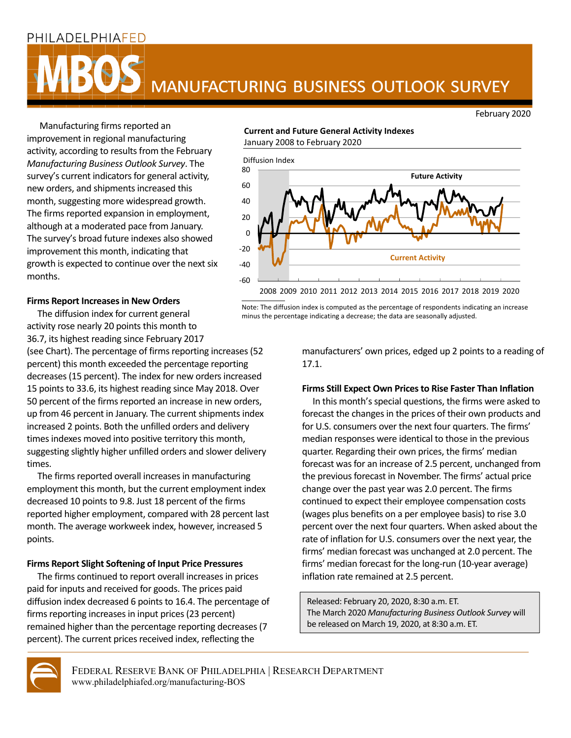### PHILADELPHIAFED



# **MANUFACTURING BUSINESS OUTLOOK SURVEY**

February 2020

Manufacturing firms reported an improvement in regional manufacturing activity, according to results from the February *Manufacturing Business Outlook Survey*. The survey's current indicators for general activity, new orders, and shipments increased this month, suggesting more widespread growth. The firms reported expansion in employment, although at a moderated pace from January. The survey's broad future indexes also showed improvement this month, indicating that growth is expected to continue over the next six months.

### **Current and Future General Activity Indexes** January 2008 to February 2020



Note: The diffusion index is computed as the percentage of respondents indicating an increase

minus the percentage indicating a decrease; the data are seasonally adjusted.

### **Firms Report Increases in New Orders**

 The diffusion index for current general activity rose nearly 20 points this month to 36.7, its highest reading since February 2017

(see Chart). The percentage of firms reporting increases (52) percent) this month exceeded the percentage reporting decreases (15 percent). The index for new orders increased 15 points to 33.6, its highest reading since May 2018. Over 50 percent of the firms reported an increase in new orders, up from 46 percent in January. The current shipments index increased 2 points. Both the unfilled orders and delivery times indexes moved into positive territory this month, suggesting slightly higher unfilled orders and slower delivery times.

The firms reported overall increases in manufacturing employment this month, but the current employment index decreased 10 points to 9.8. Just 18 percent of the firms reported higher employment, compared with 28 percent last month. The average workweek index, however, increased 5 points.

### **Firms Report Slight Softening of Input Price Pressures**

The firms continued to report overall increasesin prices paid for inputs and received for goods. The prices paid diffusion index decreased 6 points to 16.4. The percentage of firms reporting increases in input prices (23 percent) remained higher than the percentage reporting decreases(7 percent). The current prices received index, reflecting the

manufacturers' own prices, edged up 2 points to a reading of

## 17.1.

### **Firms Still Expect Own Prices to Rise Faster Than Inflation**

In this month's special questions, the firms were asked to forecast the changes in the prices of their own products and for U.S. consumers over the next four quarters. The firms' median responses were identical to those in the previous quarter. Regarding their own prices, the firms' median forecast was for an increase of 2.5 percent, unchanged from the previous forecast in November. The firms' actual price change over the past year was 2.0 percent. The firms continued to expect their employee compensation costs (wages plus benefits on a per employee basis) to rise 3.0 percent over the next four quarters. When asked about the rate of inflation for U.S. consumers over the next year, the firms' median forecast was unchanged at 2.0 percent. The firms' median forecast for the long-run (10-year average) inflation rate remained at 2.5 percent.

Released: February 20, 2020, 8:30 a.m. ET. The March 2020 *Manufacturing Business Outlook Survey* will be released on March 19, 2020, at 8:30 a.m. ET.